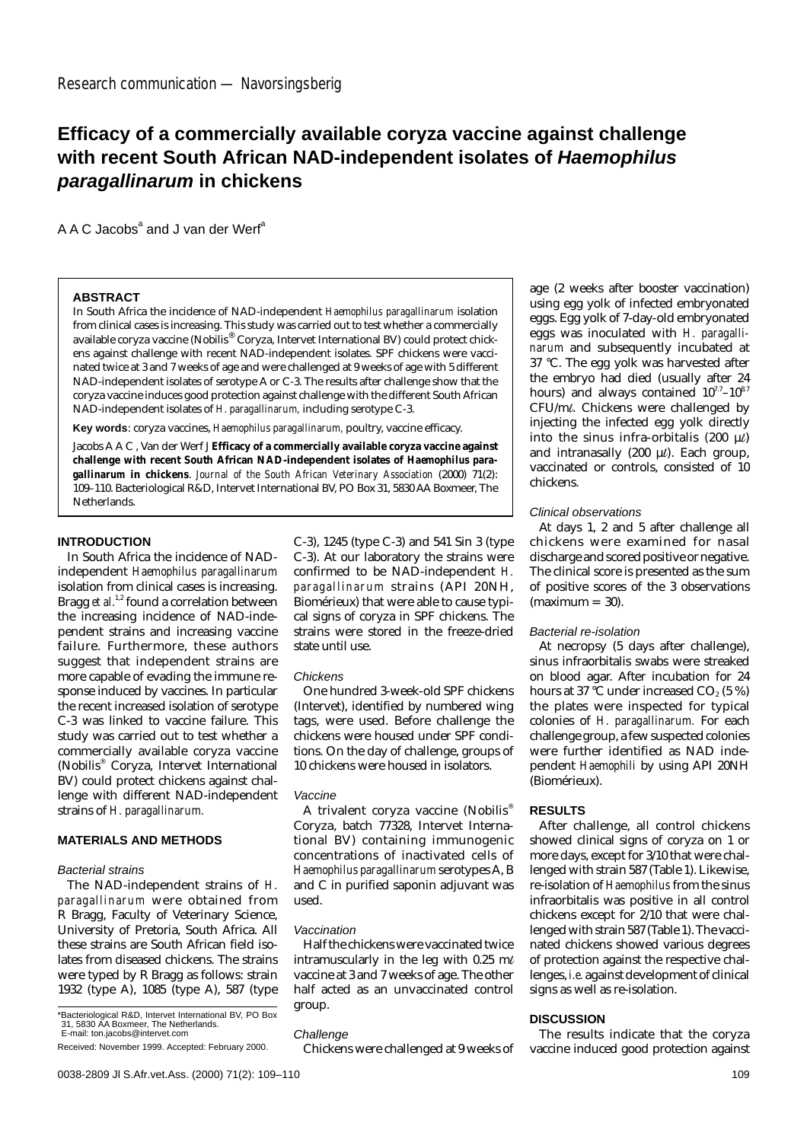# **Efficacy of a commercially available coryza vaccine against challenge with recent South African NAD-independent isolates of Haemophilus paragallinarum in chickens**

 $A A C$  Jacobs<sup>a</sup> and J van der Werf<sup>a</sup>

## **ABSTRACT**

In South Africa the incidence of NAD-independent *Haemophilus paragallinarum* isolation from clinical cases is increasing. This study was carried out to test whether a commercially available coryza vaccine (Nobilis® Coryza, Intervet International BV) could protect chickens against challenge with recent NAD-independent isolates. SPF chickens were vaccinated twice at 3 and 7 weeks of age and were challenged at 9 weeks of age with 5 different NAD-independent isolates of serotype A or C-3. The results after challenge show that the coryza vaccine induces good protection against challenge with the different South African NAD-independent isolates of *H. paragallinarum,* including serotype C-3.

**Key words**: coryza vaccines, *Haemophilus paragallinarum,* poultry, vaccine efficacy.

Jacobs A A C , Van der Werf J **Efficacy of a commercially available coryza vaccine against challenge with recent South African NAD-independent isolates of** *Haemophilus paragallinarum* **in chickens**. *Journal of the South African Veterinary Association* (2000) 71(2): 109–110. Bacteriological R&D, Intervet International BV, PO Box 31, 5830 AA Boxmeer, The Netherlands.

# **INTRODUCTION**

In South Africa the incidence of NADindependent *Haemophilus paragallinarum* isolation from clinical cases is increasing. Bragg *et al.*<sup>1,2</sup> found a correlation between the increasing incidence of NAD-independent strains and increasing vaccine failure. Furthermore, these authors suggest that independent strains are more capable of evading the immune response induced by vaccines. In particular the recent increased isolation of serotype C-3 was linked to vaccine failure. This study was carried out to test whether a commercially available coryza vaccine (Nobilis® Coryza, Intervet International BV) could protect chickens against challenge with different NAD-independent strains of *H. paragallinarum.*

## **MATERIALS AND METHODS**

#### Bacterial strains

The NAD-independent strains of *H. paragallinarum* were obtained from R Bragg, Faculty of Veterinary Science, University of Pretoria, South Africa. All these strains are South African field isolates from diseased chickens. The strains were typed by R Bragg as follows: strain 1932 (type A), 1085 (type A), 587 (type

\*Bacteriological R&D, Intervet International BV, PO Box 31, 5830 AA Boxmeer, The Netherlands. E-mail: ton.jacobs@intervet.com

C-3), 1245 (type C-3) and 541 Sin 3 (type C-3). At our laboratory the strains were confirmed to be NAD-independent *H. paragallinarum* strains (API 20NH, Biomérieux) that were able to cause typical signs of coryza in SPF chickens. The strains were stored in the freeze-dried state until use.

# Chickens

One hundred 3-week-old SPF chickens (Intervet), identified by numbered wing tags, were used. Before challenge the chickens were housed under SPF conditions. On the day of challenge, groups of 10 chickens were housed in isolators.

#### Vaccine

A trivalent coryza vaccine (Nobilis<sup>®</sup> Coryza, batch 77328, Intervet International BV) containing immunogenic concentrations of inactivated cells of *Haemophilus paragallinarum* serotypes A, B and C in purified saponin adjuvant was used.

#### Vaccination

Half the chickens were vaccinated twice intramuscularly in the leg with 0.25 m $\ell$ vaccine at 3 and 7 weeks of age. The other half acted as an unvaccinated control group.

#### **Challenge**

Chickens were challenged at 9 weeks of

age (2 weeks after booster vaccination) using egg yolk of infected embryonated eggs. Egg yolk of 7-day-old embryonated eggs was inoculated with *H. paragallinarum* and subsequently incubated at 37 °C. The egg yolk was harvested after the embryo had died (usually after 24 hours) and always contained  $10^{7.7}$ – $10^{8.7}$ CFU/ml. Chickens were challenged by injecting the infected egg yolk directly into the sinus infra-orbitalis (200  $\mu$ ) and intranasally (200  $\mu$ *l*). Each group, vaccinated or controls, consisted of 10 chickens.

## Clinical observations

At days 1, 2 and 5 after challenge all chickens were examined for nasal discharge and scored positive or negative. The clinical score is presented as the sum of positive scores of the 3 observations  $(maximum = 30)$ .

#### Bacterial re-isolation

At necropsy (5 days after challenge), sinus infraorbitalis swabs were streaked on blood agar. After incubation for 24 hours at 37 °C under increased  $CO<sub>2</sub>$  (5 %) the plates were inspected for typical colonies of *H. paragallinarum.* For each challenge group, a few suspected colonies were further identified as NAD independent *Haemophili* by using API 20NH (Biomérieux).

# **RESULTS**

After challenge, all control chickens showed clinical signs of coryza on 1 or more days, except for 3/10 that were challenged with strain 587 (Table 1). Likewise, re-isolation of *Haemophilus* from the sinus infraorbitalis was positive in all control chickens except for 2/10 that were challenged with strain 587 (Table 1). The vaccinated chickens showed various degrees of protection against the respective challenges, *i.e.* against development of clinical signs as well as re-isolation.

# **DISCUSSION**

The results indicate that the coryza vaccine induced good protection against

Received: November 1999. Accepted: February 2000.